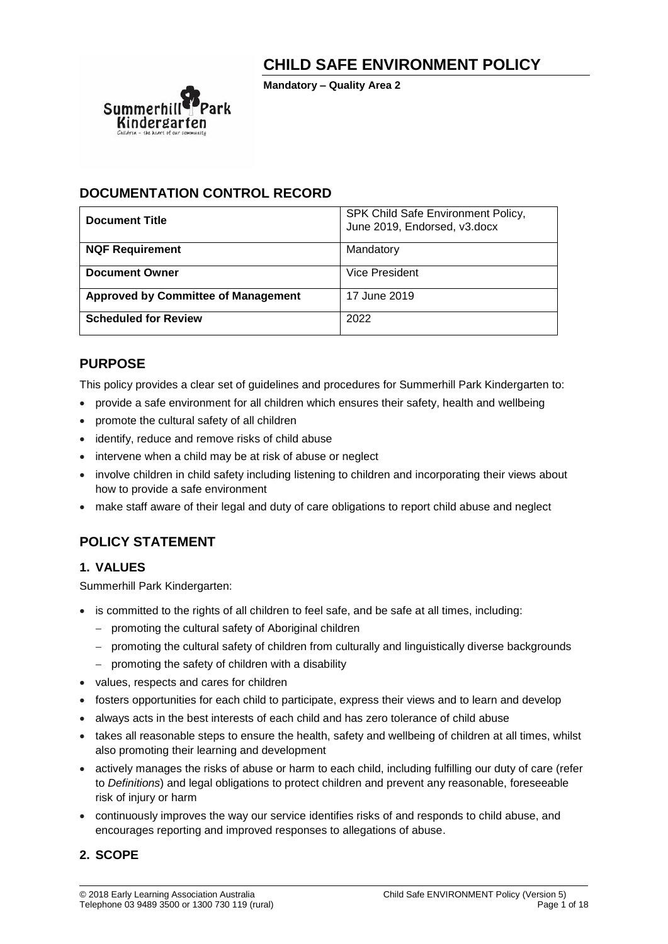# **CHILD SAFE ENVIRONMENT POLICY**

**Mandatory – Quality Area 2**



## **DOCUMENTATION CONTROL RECORD**

| <b>Document Title</b>                      | SPK Child Safe Environment Policy,<br>June 2019, Endorsed, v3.docx |
|--------------------------------------------|--------------------------------------------------------------------|
| <b>NQF Requirement</b>                     | Mandatory                                                          |
| <b>Document Owner</b>                      | Vice President                                                     |
| <b>Approved by Committee of Management</b> | 17 June 2019                                                       |
| <b>Scheduled for Review</b>                | 2022                                                               |

## **PURPOSE**

This policy provides a clear set of guidelines and procedures for Summerhill Park Kindergarten to:

- provide a safe environment for all children which ensures their safety, health and wellbeing
- promote the cultural safety of all children
- identify, reduce and remove risks of child abuse
- intervene when a child may be at risk of abuse or neglect
- involve children in child safety including listening to children and incorporating their views about how to provide a safe environment
- make staff aware of their legal and duty of care obligations to report child abuse and neglect

# **POLICY STATEMENT**

## **1. VALUES**

Summerhill Park Kindergarten:

- is committed to the rights of all children to feel safe, and be safe at all times, including:
	- − promoting the cultural safety of Aboriginal children
	- − promoting the cultural safety of children from culturally and linguistically diverse backgrounds
	- − promoting the safety of children with a disability
- values, respects and cares for children
- fosters opportunities for each child to participate, express their views and to learn and develop
- always acts in the best interests of each child and has zero tolerance of child abuse
- takes all reasonable steps to ensure the health, safety and wellbeing of children at all times, whilst also promoting their learning and development
- actively manages the risks of abuse or harm to each child, including fulfilling our duty of care (refer to *Definitions*) and legal obligations to protect children and prevent any reasonable, foreseeable risk of injury or harm
- continuously improves the way our service identifies risks of and responds to child abuse, and encourages reporting and improved responses to allegations of abuse.

## **2. SCOPE**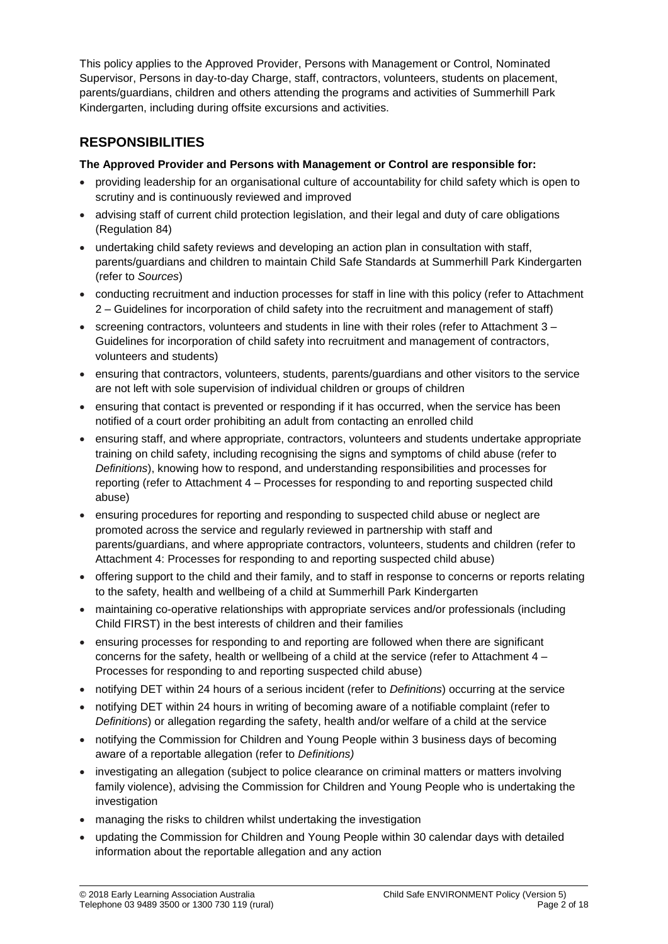This policy applies to the Approved Provider, Persons with Management or Control, Nominated Supervisor, Persons in day-to-day Charge, staff, contractors, volunteers, students on placement, parents/guardians, children and others attending the programs and activities of Summerhill Park Kindergarten, including during offsite excursions and activities.

# **RESPONSIBILITIES**

## **The Approved Provider and Persons with Management or Control are responsible for:**

- providing leadership for an organisational culture of accountability for child safety which is open to scrutiny and is continuously reviewed and improved
- advising staff of current child protection legislation, and their legal and duty of care obligations (Regulation 84)
- undertaking child safety reviews and developing an action plan in consultation with staff, parents/guardians and children to maintain Child Safe Standards at Summerhill Park Kindergarten (refer to *Sources*)
- conducting recruitment and induction processes for staff in line with this policy (refer to Attachment 2 – Guidelines for incorporation of child safety into the recruitment and management of staff)
- screening contractors, volunteers and students in line with their roles (refer to Attachment 3 Guidelines for incorporation of child safety into recruitment and management of contractors, volunteers and students)
- ensuring that contractors, volunteers, students, parents/guardians and other visitors to the service are not left with sole supervision of individual children or groups of children
- ensuring that contact is prevented or responding if it has occurred, when the service has been notified of a court order prohibiting an adult from contacting an enrolled child
- ensuring staff, and where appropriate, contractors, volunteers and students undertake appropriate training on child safety, including recognising the signs and symptoms of child abuse (refer to *Definitions*), knowing how to respond, and understanding responsibilities and processes for reporting (refer to Attachment 4 – Processes for responding to and reporting suspected child abuse)
- ensuring procedures for reporting and responding to suspected child abuse or neglect are promoted across the service and regularly reviewed in partnership with staff and parents/guardians, and where appropriate contractors, volunteers, students and children (refer to Attachment 4: Processes for responding to and reporting suspected child abuse)
- offering support to the child and their family, and to staff in response to concerns or reports relating to the safety, health and wellbeing of a child at Summerhill Park Kindergarten
- maintaining co-operative relationships with appropriate services and/or professionals (including Child FIRST) in the best interests of children and their families
- ensuring processes for responding to and reporting are followed when there are significant concerns for the safety, health or wellbeing of a child at the service (refer to Attachment 4 – Processes for responding to and reporting suspected child abuse)
- notifying DET within 24 hours of a serious incident (refer to *Definitions*) occurring at the service
- notifying DET within 24 hours in writing of becoming aware of a notifiable complaint (refer to *Definitions*) or allegation regarding the safety, health and/or welfare of a child at the service
- notifying the Commission for Children and Young People within 3 business days of becoming aware of a reportable allegation (refer to *Definitions)*
- investigating an allegation (subject to police clearance on criminal matters or matters involving family violence), advising the Commission for Children and Young People who is undertaking the investigation
- managing the risks to children whilst undertaking the investigation
- updating the Commission for Children and Young People within 30 calendar days with detailed information about the reportable allegation and any action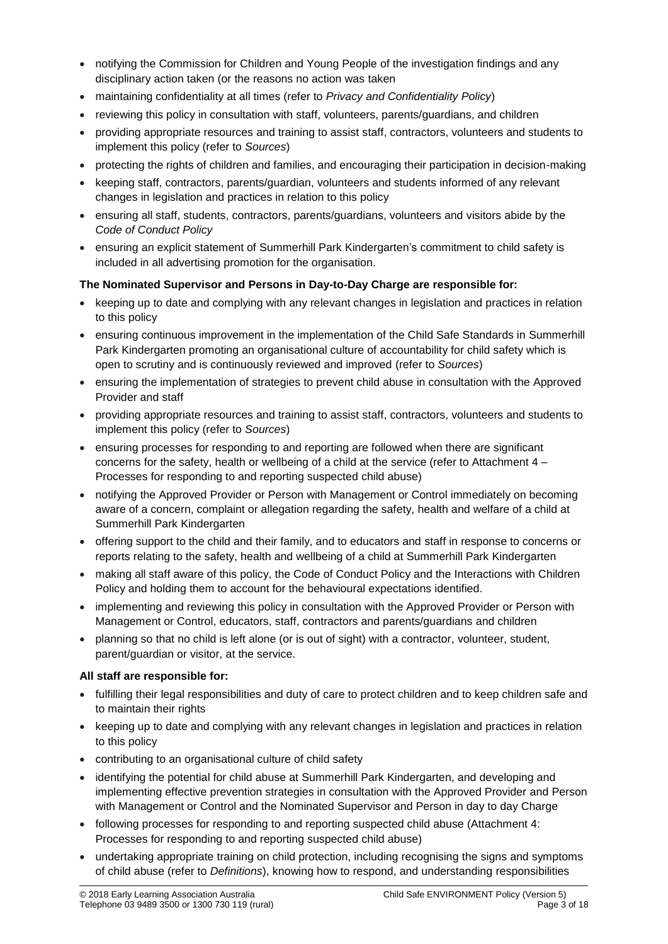- notifying the Commission for Children and Young People of the investigation findings and any disciplinary action taken (or the reasons no action was taken
- maintaining confidentiality at all times (refer to *Privacy and Confidentiality Policy*)
- reviewing this policy in consultation with staff, volunteers, parents/guardians, and children
- providing appropriate resources and training to assist staff, contractors, volunteers and students to implement this policy (refer to *Sources*)
- protecting the rights of children and families, and encouraging their participation in decision-making
- keeping staff, contractors, parents/guardian, volunteers and students informed of any relevant changes in legislation and practices in relation to this policy
- ensuring all staff, students, contractors, parents/guardians, volunteers and visitors abide by the *Code of Conduct Policy*
- ensuring an explicit statement of Summerhill Park Kindergarten's commitment to child safety is included in all advertising promotion for the organisation.

### **The Nominated Supervisor and Persons in Day-to-Day Charge are responsible for:**

- keeping up to date and complying with any relevant changes in legislation and practices in relation to this policy
- ensuring continuous improvement in the implementation of the Child Safe Standards in Summerhill Park Kindergarten promoting an organisational culture of accountability for child safety which is open to scrutiny and is continuously reviewed and improved (refer to *Sources*)
- ensuring the implementation of strategies to prevent child abuse in consultation with the Approved Provider and staff
- providing appropriate resources and training to assist staff, contractors, volunteers and students to implement this policy (refer to *Sources*)
- ensuring processes for responding to and reporting are followed when there are significant concerns for the safety, health or wellbeing of a child at the service (refer to Attachment 4 – Processes for responding to and reporting suspected child abuse)
- notifying the Approved Provider or Person with Management or Control immediately on becoming aware of a concern, complaint or allegation regarding the safety, health and welfare of a child at Summerhill Park Kindergarten
- offering support to the child and their family, and to educators and staff in response to concerns or reports relating to the safety, health and wellbeing of a child at Summerhill Park Kindergarten
- making all staff aware of this policy, the Code of Conduct Policy and the Interactions with Children Policy and holding them to account for the behavioural expectations identified.
- implementing and reviewing this policy in consultation with the Approved Provider or Person with Management or Control, educators, staff, contractors and parents/guardians and children
- planning so that no child is left alone (or is out of sight) with a contractor, volunteer, student, parent/guardian or visitor, at the service.

### **All staff are responsible for:**

- fulfilling their legal responsibilities and duty of care to protect children and to keep children safe and to maintain their rights
- keeping up to date and complying with any relevant changes in legislation and practices in relation to this policy
- contributing to an organisational culture of child safety
- identifying the potential for child abuse at Summerhill Park Kindergarten, and developing and implementing effective prevention strategies in consultation with the Approved Provider and Person with Management or Control and the Nominated Supervisor and Person in day to day Charge
- following processes for responding to and reporting suspected child abuse (Attachment 4: Processes for responding to and reporting suspected child abuse)
- undertaking appropriate training on child protection, including recognising the signs and symptoms of child abuse (refer to *Definitions*), knowing how to respond, and understanding responsibilities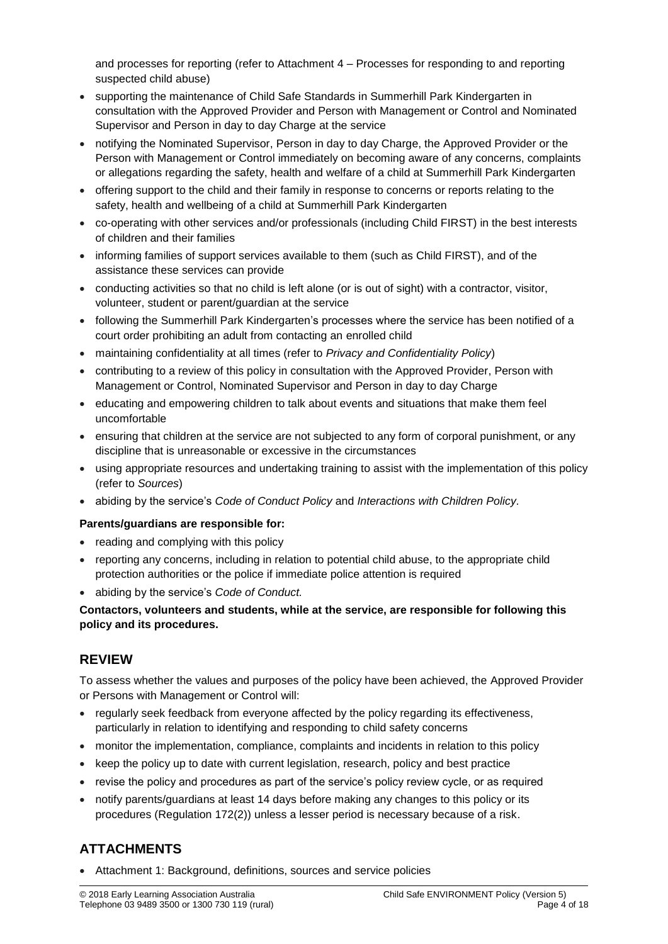and processes for reporting (refer to Attachment 4 – Processes for responding to and reporting suspected child abuse)

- supporting the maintenance of Child Safe Standards in Summerhill Park Kindergarten in consultation with the Approved Provider and Person with Management or Control and Nominated Supervisor and Person in day to day Charge at the service
- notifying the Nominated Supervisor, Person in day to day Charge, the Approved Provider or the Person with Management or Control immediately on becoming aware of any concerns, complaints or allegations regarding the safety, health and welfare of a child at Summerhill Park Kindergarten
- offering support to the child and their family in response to concerns or reports relating to the safety, health and wellbeing of a child at Summerhill Park Kindergarten
- co-operating with other services and/or professionals (including Child FIRST) in the best interests of children and their families
- informing families of support services available to them (such as Child FIRST), and of the assistance these services can provide
- conducting activities so that no child is left alone (or is out of sight) with a contractor, visitor, volunteer, student or parent/guardian at the service
- following the Summerhill Park Kindergarten's processes where the service has been notified of a court order prohibiting an adult from contacting an enrolled child
- maintaining confidentiality at all times (refer to *Privacy and Confidentiality Policy*)
- contributing to a review of this policy in consultation with the Approved Provider, Person with Management or Control, Nominated Supervisor and Person in day to day Charge
- educating and empowering children to talk about events and situations that make them feel uncomfortable
- ensuring that children at the service are not subjected to any form of corporal punishment, or any discipline that is unreasonable or excessive in the circumstances
- using appropriate resources and undertaking training to assist with the implementation of this policy (refer to *Sources*)
- abiding by the service's *Code of Conduct Policy* and *Interactions with Children Policy.*

### **Parents/guardians are responsible for:**

- reading and complying with this policy
- reporting any concerns, including in relation to potential child abuse, to the appropriate child protection authorities or the police if immediate police attention is required
- abiding by the service's *Code of Conduct.*

### **Contactors, volunteers and students, while at the service, are responsible for following this policy and its procedures.**

## **REVIEW**

To assess whether the values and purposes of the policy have been achieved, the Approved Provider or Persons with Management or Control will:

- regularly seek feedback from everyone affected by the policy regarding its effectiveness, particularly in relation to identifying and responding to child safety concerns
- monitor the implementation, compliance, complaints and incidents in relation to this policy
- keep the policy up to date with current legislation, research, policy and best practice
- revise the policy and procedures as part of the service's policy review cycle, or as required
- notify parents/guardians at least 14 days before making any changes to this policy or its procedures (Regulation 172(2)) unless a lesser period is necessary because of a risk.

## **ATTACHMENTS**

• Attachment 1: Background, definitions, sources and service policies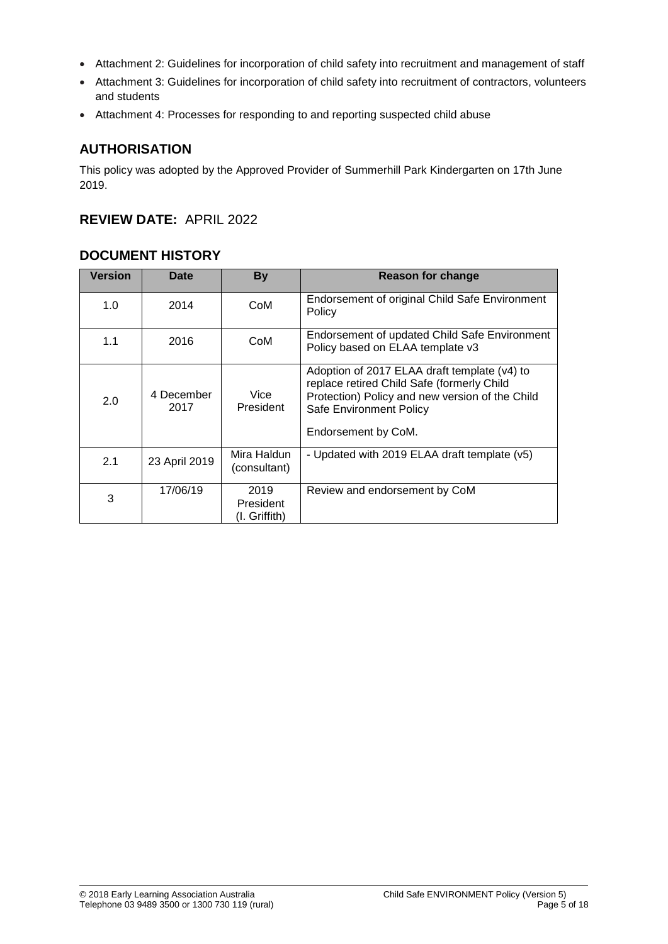- Attachment 2: Guidelines for incorporation of child safety into recruitment and management of staff
- Attachment 3: Guidelines for incorporation of child safety into recruitment of contractors, volunteers and students
- Attachment 4: Processes for responding to and reporting suspected child abuse

## **AUTHORISATION**

This policy was adopted by the Approved Provider of Summerhill Park Kindergarten on 17th June 2019.

## **REVIEW DATE:** APRIL 2022

## **DOCUMENT HISTORY**

| <b>Version</b> | Date               | <b>By</b>                          | <b>Reason for change</b>                                                                                                                                                                        |
|----------------|--------------------|------------------------------------|-------------------------------------------------------------------------------------------------------------------------------------------------------------------------------------------------|
| 1.0            | 2014               | CoM                                | Endorsement of original Child Safe Environment<br>Policy                                                                                                                                        |
| 1.1            | 2016               | CoM                                | Endorsement of updated Child Safe Environment<br>Policy based on ELAA template v3                                                                                                               |
| 2.0            | 4 December<br>2017 | Vice<br>President                  | Adoption of 2017 ELAA draft template (v4) to<br>replace retired Child Safe (formerly Child<br>Protection) Policy and new version of the Child<br>Safe Environment Policy<br>Endorsement by CoM. |
| 2.1            | 23 April 2019      | Mira Haldun<br>(consultant)        | - Updated with 2019 ELAA draft template (v5)                                                                                                                                                    |
| 3              | 17/06/19           | 2019<br>President<br>(I. Griffith) | Review and endorsement by CoM                                                                                                                                                                   |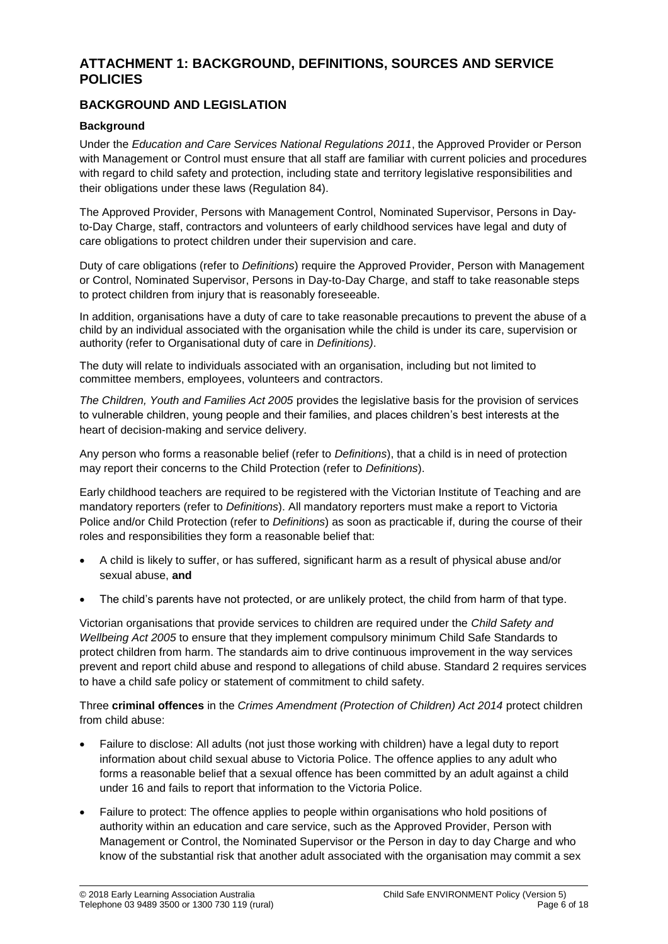## **ATTACHMENT 1: BACKGROUND, DEFINITIONS, SOURCES AND SERVICE POLICIES**

## **BACKGROUND AND LEGISLATION**

### **Background**

Under the *Education and Care Services National Regulations 2011*, the Approved Provider or Person with Management or Control must ensure that all staff are familiar with current policies and procedures with regard to child safety and protection, including state and territory legislative responsibilities and their obligations under these laws (Regulation 84).

The Approved Provider, Persons with Management Control, Nominated Supervisor, Persons in Dayto-Day Charge, staff, contractors and volunteers of early childhood services have legal and duty of care obligations to protect children under their supervision and care.

Duty of care obligations (refer to *Definitions*) require the Approved Provider, Person with Management or Control, Nominated Supervisor, Persons in Day-to-Day Charge, and staff to take reasonable steps to protect children from injury that is reasonably foreseeable.

In addition, organisations have a duty of care to take reasonable precautions to prevent the abuse of a child by an individual associated with the organisation while the child is under its care, supervision or authority (refer to Organisational duty of care in *Definitions)*.

The duty will relate to individuals associated with an organisation, including but not limited to committee members, employees, volunteers and contractors.

*The Children, Youth and Families Act 2005* provides the legislative basis for the provision of services to vulnerable children, young people and their families, and places children's best interests at the heart of decision-making and service delivery.

Any person who forms a reasonable belief (refer to *Definitions*), that a child is in need of protection may report their concerns to the Child Protection (refer to *Definitions*).

Early childhood teachers are required to be registered with the Victorian Institute of Teaching and are mandatory reporters (refer to *Definitions*). All mandatory reporters must make a report to Victoria Police and/or Child Protection (refer to *Definitions*) as soon as practicable if, during the course of their roles and responsibilities they form a reasonable belief that:

- A child is likely to suffer, or has suffered, significant harm as a result of physical abuse and/or sexual abuse, **and**
- The child's parents have not protected, or are unlikely protect, the child from harm of that type.

Victorian organisations that provide services to children are required under the *Child Safety and Wellbeing Act 2005* to ensure that they implement compulsory minimum Child Safe Standards to protect children from harm. The standards aim to drive continuous improvement in the way services prevent and report child abuse and respond to allegations of child abuse. Standard 2 requires services to have a child safe policy or statement of commitment to child safety.

Three **criminal offences** in the *Crimes Amendment (Protection of Children) Act 2014* protect children from child abuse:

- Failure to disclose: All adults (not just those working with children) have a legal duty to report information about child sexual abuse to Victoria Police. The offence applies to any adult who forms a reasonable belief that a sexual offence has been committed by an adult against a child under 16 and fails to report that information to the Victoria Police.
- Failure to protect: The offence applies to people within organisations who hold positions of authority within an education and care service, such as the Approved Provider, Person with Management or Control, the Nominated Supervisor or the Person in day to day Charge and who know of the substantial risk that another adult associated with the organisation may commit a sex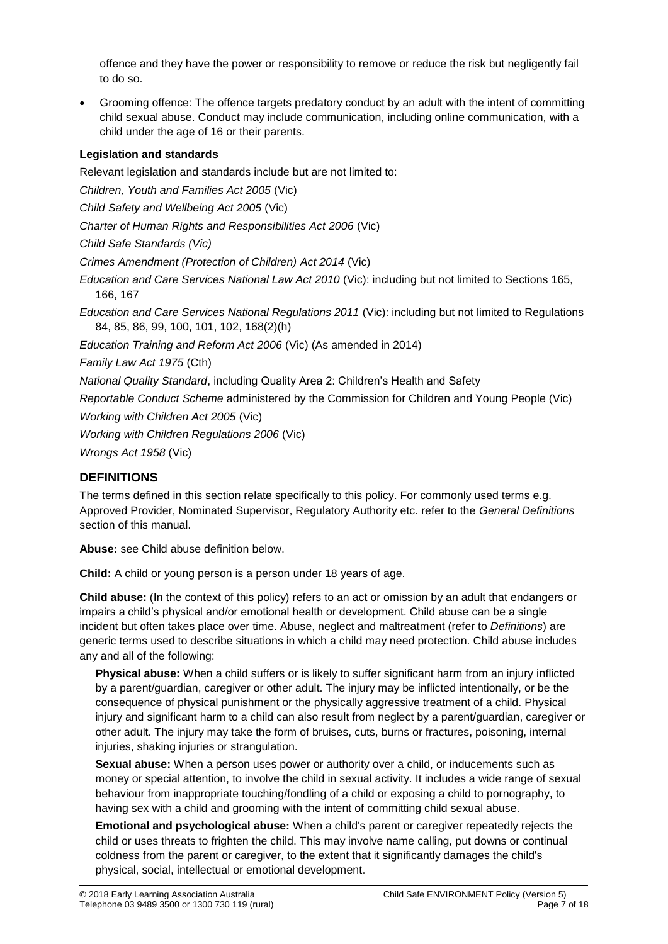offence and they have the power or responsibility to remove or reduce the risk but negligently fail to do so.

• Grooming offence: The offence targets predatory conduct by an adult with the intent of committing child sexual abuse. Conduct may include communication, including online communication, with a child under the age of 16 or their parents.

## **Legislation and standards**

Relevant legislation and standards include but are not limited to: *Children, Youth and Families Act 2005* (Vic) *Child Safety and Wellbeing Act 2005* (Vic) *Charter of Human Rights and Responsibilities Act 2006* (Vic) *Child Safe Standards (Vic) Crimes Amendment (Protection of Children) Act 2014* (Vic) *Education and Care Services National Law Act 2010* (Vic): including but not limited to Sections 165, 166, 167 *Education and Care Services National Regulations 2011* (Vic): including but not limited to Regulations 84, 85, 86, 99, 100, 101, 102, 168(2)(h) *Education Training and Reform Act 2006* (Vic) (As amended in 2014) *Family Law Act 1975* (Cth) *National Quality Standard*, including Quality Area 2: Children's Health and Safety *Reportable Conduct Scheme* administered by the Commission for Children and Young People (Vic) *Working with Children Act 2005* (Vic) *Working with Children Regulations 2006* (Vic) *Wrongs Act 1958* (Vic)

## **DEFINITIONS**

The terms defined in this section relate specifically to this policy. For commonly used terms e.g. Approved Provider, Nominated Supervisor, Regulatory Authority etc. refer to the *General Definitions* section of this manual.

**Abuse:** see Child abuse definition below.

**Child:** A child or young person is a person under 18 years of age.

**Child abuse:** (In the context of this policy) refers to an act or omission by an adult that endangers or impairs a child's physical and/or emotional health or development. Child abuse can be a single incident but often takes place over time. Abuse, neglect and maltreatment (refer to *Definitions*) are generic terms used to describe situations in which a child may need protection. Child abuse includes any and all of the following:

**Physical abuse:** When a child suffers or is likely to suffer significant harm from an injury inflicted by a parent/guardian, caregiver or other adult. The injury may be inflicted intentionally, or be the consequence of physical punishment or the physically aggressive treatment of a child. Physical injury and significant harm to a child can also result from neglect by a parent/guardian, caregiver or other adult. The injury may take the form of bruises, cuts, burns or fractures, poisoning, internal injuries, shaking injuries or strangulation.

**Sexual abuse:** When a person uses power or authority over a child, or inducements such as money or special attention, to involve the child in sexual activity. It includes a wide range of sexual behaviour from inappropriate touching/fondling of a child or exposing a child to pornography, to having sex with a child and grooming with the intent of committing child sexual abuse.

**Emotional and psychological abuse:** When a child's parent or caregiver repeatedly rejects the child or uses threats to frighten the child. This may involve name calling, put downs or continual coldness from the parent or caregiver, to the extent that it significantly damages the child's physical, social, intellectual or emotional development.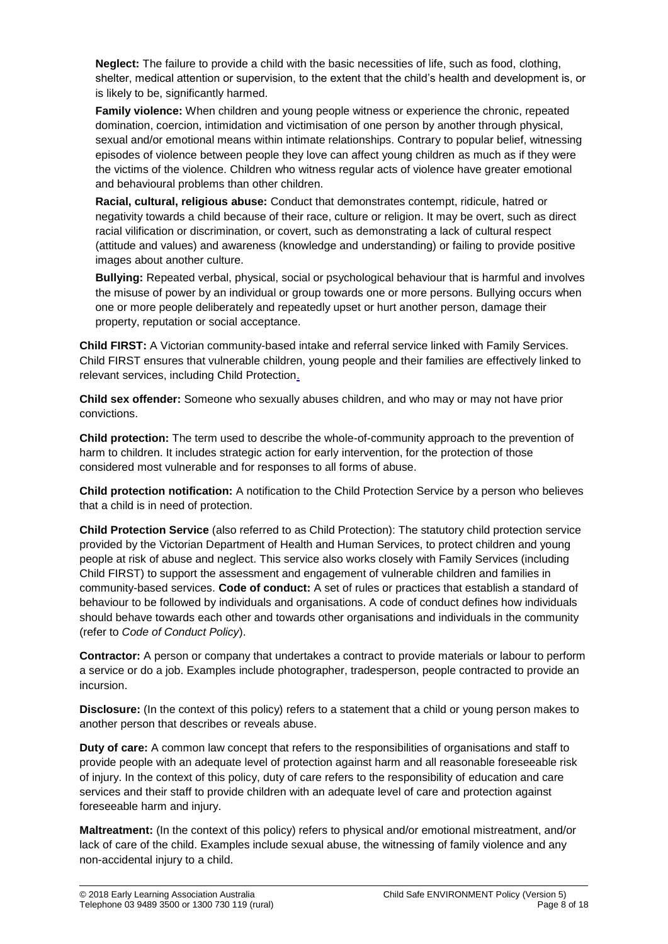**Neglect:** The failure to provide a child with the basic necessities of life, such as food, clothing, shelter, medical attention or supervision, to the extent that the child's health and development is, or is likely to be, significantly harmed.

**Family violence:** When children and young people witness or experience the chronic, repeated domination, coercion, intimidation and victimisation of one person by another through physical, sexual and/or emotional means within intimate relationships. Contrary to popular belief, witnessing episodes of violence between people they love can affect young children as much as if they were the victims of the violence. Children who witness regular acts of violence have greater emotional and behavioural problems than other children.

**Racial, cultural, religious abuse:** Conduct that demonstrates contempt, ridicule, hatred or negativity towards a child because of their race, culture or religion. It may be overt, such as direct racial vilification or discrimination, or covert, such as demonstrating a lack of cultural respect (attitude and values) and awareness (knowledge and understanding) or failing to provide positive images about another culture.

**Bullying:** Repeated verbal, physical, social or psychological behaviour that is harmful and involves the misuse of power by an individual or group towards one or more persons. Bullying occurs when one or more people deliberately and repeatedly upset or hurt another person, damage their property, reputation or social acceptance.

**Child FIRST:** A Victorian community-based intake and referral service linked with Family Services. Child FIRST ensures that vulnerable children, young people and their families are effectively linked to relevant services, including Child Protection.

**Child sex offender:** Someone who sexually abuses children, and who may or may not have prior convictions.

**Child protection:** The term used to describe the whole-of-community approach to the prevention of harm to children. It includes strategic action for early intervention, for the protection of those considered most vulnerable and for responses to all forms of abuse.

**Child protection notification:** A notification to the Child Protection Service by a person who believes that a child is in need of protection.

**Child Protection Service** (also referred to as Child Protection): The statutory child protection service provided by the Victorian Department of Health and Human Services, to protect children and young people at risk of abuse and neglect. This service also works closely with Family Services (including Child FIRST) to support the assessment and engagement of vulnerable children and families in community-based services. **Code of conduct:** A set of rules or practices that establish a standard of behaviour to be followed by individuals and organisations. A code of conduct defines how individuals should behave towards each other and towards other organisations and individuals in the community (refer to *Code of Conduct Policy*).

**Contractor:** A person or company that undertakes a contract to provide materials or labour to perform a service or do a job. Examples include photographer, tradesperson, people contracted to provide an incursion.

**Disclosure:** (In the context of this policy) refers to a statement that a child or young person makes to another person that describes or reveals abuse.

**Duty of care:** A common law concept that refers to the responsibilities of organisations and staff to provide people with an adequate level of protection against harm and all reasonable foreseeable risk of injury. In the context of this policy, duty of care refers to the responsibility of education and care services and their staff to provide children with an adequate level of care and protection against foreseeable harm and injury.

**Maltreatment:** (In the context of this policy) refers to physical and/or emotional mistreatment, and/or lack of care of the child. Examples include sexual abuse, the witnessing of family violence and any non-accidental injury to a child.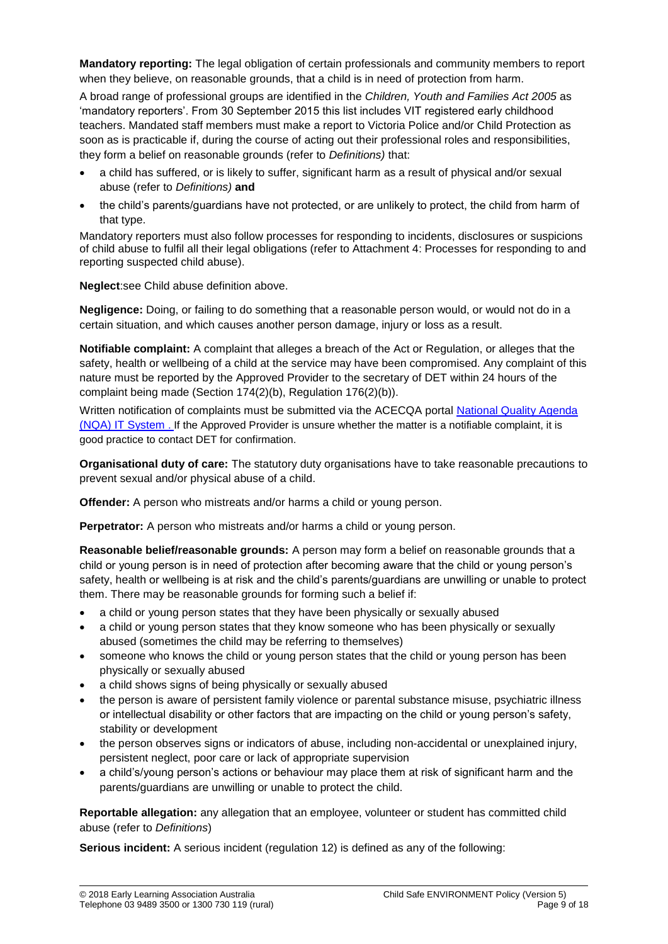**Mandatory reporting:** The legal obligation of certain professionals and community members to report when they believe, on reasonable grounds, that a child is in need of protection from harm.

A broad range of professional groups are identified in the *Children, Youth and Families Act 2005* as 'mandatory reporters'. From 30 September 2015 this list includes VIT registered early childhood teachers. Mandated staff members must make a report to Victoria Police and/or Child Protection as soon as is practicable if, during the course of acting out their professional roles and responsibilities, they form a belief on reasonable grounds (refer to *Definitions)* that:

- a child has suffered, or is likely to suffer, significant harm as a result of physical and/or sexual abuse (refer to *Definitions)* **and**
- the child's parents/guardians have not protected, or are unlikely to protect, the child from harm of that type.

Mandatory reporters must also follow processes for responding to incidents, disclosures or suspicions of child abuse to fulfil all their legal obligations (refer to Attachment 4: Processes for responding to and reporting suspected child abuse).

**Neglect**:see Child abuse definition above.

**Negligence:** Doing, or failing to do something that a reasonable person would, or would not do in a certain situation, and which causes another person damage, injury or loss as a result.

**Notifiable complaint:** A complaint that alleges a breach of the Act or Regulation, or alleges that the safety, health or wellbeing of a child at the service may have been compromised. Any complaint of this nature must be reported by the Approved Provider to the secretary of DET within 24 hours of the complaint being made (Section 174(2)(b), Regulation 176(2)(b)).

Written notification of complaints must be submitted via the ACECQA portal [National Quality Agenda](https://public.nqaits.acecqa.gov.au/Pages/Landing.aspx) (NQA) [IT System](https://public.nqaits.acecqa.gov.au/Pages/Landing.aspx) . If the Approved Provider is unsure whether the matter is a notifiable complaint, it is good practice to contact DET for confirmation.

**Organisational duty of care:** The statutory duty organisations have to take reasonable precautions to prevent sexual and/or physical abuse of a child.

**Offender:** A person who mistreats and/or harms a child or young person.

**Perpetrator:** A person who mistreats and/or harms a child or young person.

**Reasonable belief/reasonable grounds:** A person may form a belief on reasonable grounds that a child or young person is in need of protection after becoming aware that the child or young person's safety, health or wellbeing is at risk and the child's parents/guardians are unwilling or unable to protect them. There may be reasonable grounds for forming such a belief if:

- a child or young person states that they have been physically or sexually abused
- a child or young person states that they know someone who has been physically or sexually abused (sometimes the child may be referring to themselves)
- someone who knows the child or young person states that the child or young person has been physically or sexually abused
- a child shows signs of being physically or sexually abused
- the person is aware of persistent family violence or parental substance misuse, psychiatric illness or intellectual disability or other factors that are impacting on the child or young person's safety, stability or development
- the person observes signs or indicators of abuse, including non-accidental or unexplained injury, persistent neglect, poor care or lack of appropriate supervision
- a child's/young person's actions or behaviour may place them at risk of significant harm and the parents/guardians are unwilling or unable to protect the child.

**Reportable allegation:** any allegation that an employee, volunteer or student has committed child abuse (refer to *Definitions*)

**Serious incident:** A serious incident (regulation 12) is defined as any of the following: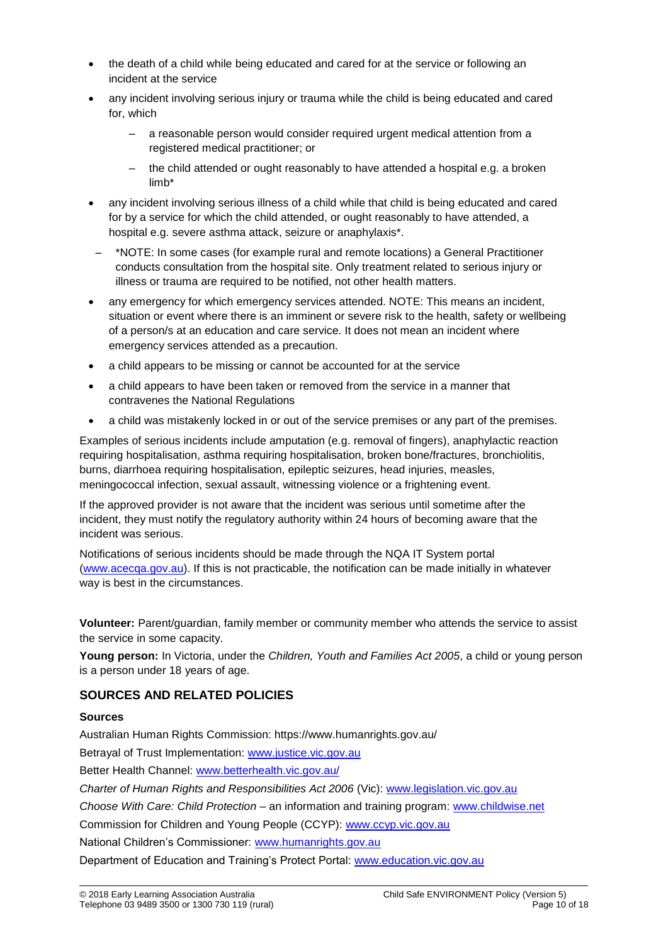- the death of a child while being educated and cared for at the service or following an incident at the service
- any incident involving serious injury or trauma while the child is being educated and cared for, which
	- a reasonable person would consider required urgent medical attention from a registered medical practitioner; or
	- the child attended or ought reasonably to have attended a hospital e.g. a broken limb\*
- any incident involving serious illness of a child while that child is being educated and cared for by a service for which the child attended, or ought reasonably to have attended, a hospital e.g. severe asthma attack, seizure or anaphylaxis\*.
- \*NOTE: In some cases (for example rural and remote locations) a General Practitioner conducts consultation from the hospital site. Only treatment related to serious injury or illness or trauma are required to be notified, not other health matters.
- any emergency for which emergency services attended. NOTE: This means an incident, situation or event where there is an imminent or severe risk to the health, safety or wellbeing of a person/s at an education and care service. It does not mean an incident where emergency services attended as a precaution.
- a child appears to be missing or cannot be accounted for at the service
- a child appears to have been taken or removed from the service in a manner that contravenes the National Regulations
- a child was mistakenly locked in or out of the service premises or any part of the premises.

Examples of serious incidents include amputation (e.g. removal of fingers), anaphylactic reaction requiring hospitalisation, asthma requiring hospitalisation, broken bone/fractures, bronchiolitis, burns, diarrhoea requiring hospitalisation, epileptic seizures, head injuries, measles, meningococcal infection, sexual assault, witnessing violence or a frightening event.

If the approved provider is not aware that the incident was serious until sometime after the incident, they must notify the regulatory authority within 24 hours of becoming aware that the incident was serious.

Notifications of serious incidents should be made through the NQA IT System portal [\(www.acecqa.gov.au\)](http://www.acecqa.gov.au/). If this is not practicable, the notification can be made initially in whatever way is best in the circumstances.

**Volunteer:** Parent/guardian, family member or community member who attends the service to assist the service in some capacity.

**Young person:** In Victoria, under the *Children, Youth and Families Act 2005*, a child or young person is a person under 18 years of age.

## **SOURCES AND RELATED POLICIES**

### **Sources**

Australian Human Rights Commission: https://www.humanrights.gov.au/

Betrayal of Trust Implementation: [www.justice.vic.gov.au](http://www.justice.vic.gov.au/)

Better Health Channel: [www.betterhealth.vic.gov.au/](file://///kpv-sbs/data/BD&G/Communications/Publications/Policy%20Works/2018%20Final%20PolicyWorks/www.betterhealth.vic.gov.au/)

*Charter of Human Rights and Responsibilities Act 2006* (Vic): [www.legislation.vic.gov.au](file://///kpv-sbs/data/BD&G/Communications/Publications/Policy%20Works/2018%20Final%20PolicyWorks/www.legislation.vic.gov.au)

*Choose With Care: Child Protection* – an information and training program: [www.childwise.net](http://www.childwise.net/)

Commission for Children and Young People (CCYP): [www.ccyp.vic.gov.au](file://///kpv-sbs/data/BD&G/Communications/Publications/Policy%20Works/2018%20Final%20PolicyWorks/www.ccyp.vic.gov.au)

National Children's Commissioner: [www.humanrights.gov.au](http://www.humanrights.gov.au/)

Department of Education and Training's Protect Portal: [www.education.vic.gov.au](http://www.education.vic.gov.au/Pages/default.aspx)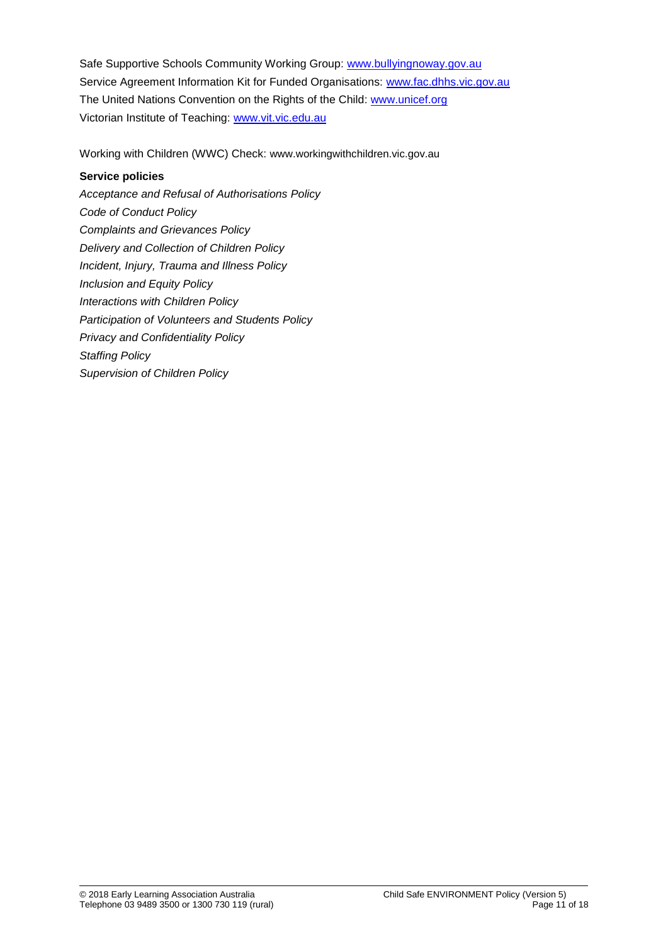Safe Supportive Schools Community Working Group: [www.bullyingnoway.gov.au](file://///kpv-sbs/data/BD&G/Communications/Publications/Policy%20Works/2018%20Final%20PolicyWorks/www.bullyingnoway.gov.au) Service Agreement Information Kit for Funded Organisations: [www.fac.dhhs.vic.gov.au](http://www.fac.dhhs.vic.gov.au/) The United Nations Convention on the Rights of the Child: [www.unicef.org](https://www.unicef.org/) Victorian Institute of Teaching: [www.vit.vic.edu.au](http://www.vit.vic.edu.au/)

Working with Children (WWC) Check: www.workingwithchildren.vic.gov.au

### **Service policies**

*Acceptance and Refusal of Authorisations Policy Code of Conduct Policy Complaints and Grievances Policy Delivery and Collection of Children Policy Incident, Injury, Trauma and Illness Policy Inclusion and Equity Policy Interactions with Children Policy Participation of Volunteers and Students Policy Privacy and Confidentiality Policy Staffing Policy Supervision of Children Policy*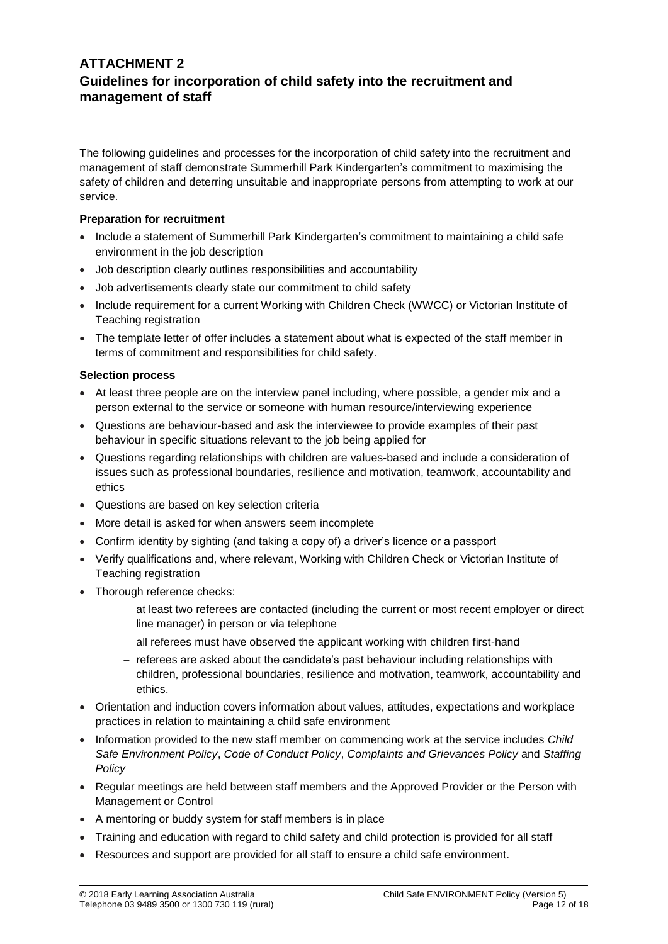## **ATTACHMENT 2 Guidelines for incorporation of child safety into the recruitment and management of staff**

The following guidelines and processes for the incorporation of child safety into the recruitment and management of staff demonstrate Summerhill Park Kindergarten's commitment to maximising the safety of children and deterring unsuitable and inappropriate persons from attempting to work at our service.

#### **Preparation for recruitment**

- Include a statement of Summerhill Park Kindergarten's commitment to maintaining a child safe environment in the job description
- Job description clearly outlines responsibilities and accountability
- Job advertisements clearly state our commitment to child safety
- Include requirement for a current Working with Children Check (WWCC) or Victorian Institute of Teaching registration
- The template letter of offer includes a statement about what is expected of the staff member in terms of commitment and responsibilities for child safety.

#### **Selection process**

- At least three people are on the interview panel including, where possible, a gender mix and a person external to the service or someone with human resource/interviewing experience
- Questions are behaviour-based and ask the interviewee to provide examples of their past behaviour in specific situations relevant to the job being applied for
- Questions regarding relationships with children are values-based and include a consideration of issues such as professional boundaries, resilience and motivation, teamwork, accountability and ethics
- Questions are based on key selection criteria
- More detail is asked for when answers seem incomplete
- Confirm identity by sighting (and taking a copy of) a driver's licence or a passport
- Verify qualifications and, where relevant, Working with Children Check or Victorian Institute of Teaching registration
- Thorough reference checks:
	- − at least two referees are contacted (including the current or most recent employer or direct line manager) in person or via telephone
	- − all referees must have observed the applicant working with children first-hand
	- − referees are asked about the candidate's past behaviour including relationships with children, professional boundaries, resilience and motivation, teamwork, accountability and ethics.
- Orientation and induction covers information about values, attitudes, expectations and workplace practices in relation to maintaining a child safe environment
- Information provided to the new staff member on commencing work at the service includes *Child Safe Environment Policy*, *Code of Conduct Policy*, *Complaints and Grievances Policy* and *Staffing Policy*
- Regular meetings are held between staff members and the Approved Provider or the Person with Management or Control
- A mentoring or buddy system for staff members is in place
- Training and education with regard to child safety and child protection is provided for all staff
- Resources and support are provided for all staff to ensure a child safe environment.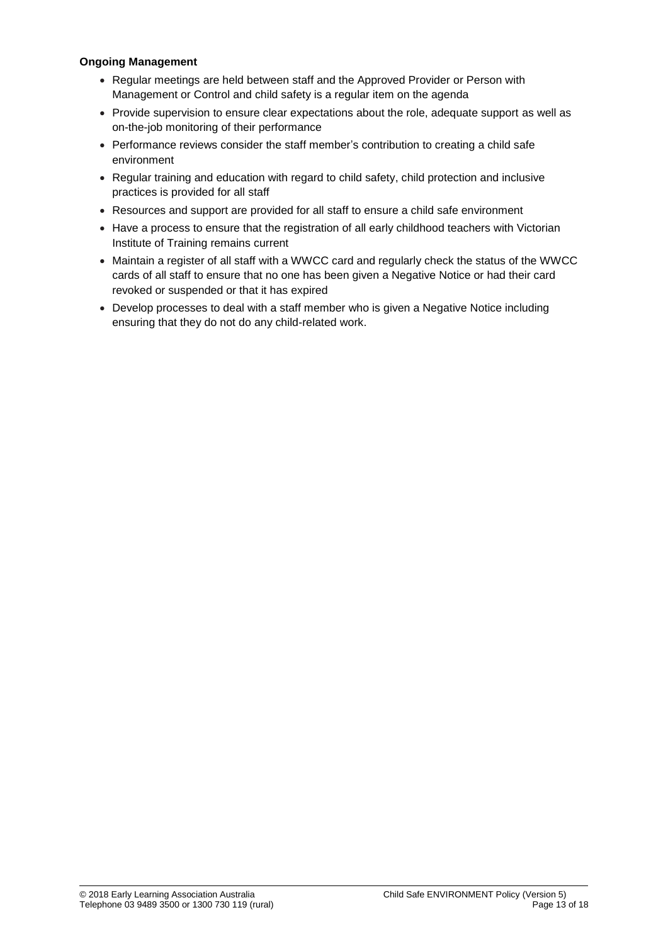#### **Ongoing Management**

- Regular meetings are held between staff and the Approved Provider or Person with Management or Control and child safety is a regular item on the agenda
- Provide supervision to ensure clear expectations about the role, adequate support as well as on-the-job monitoring of their performance
- Performance reviews consider the staff member's contribution to creating a child safe environment
- Regular training and education with regard to child safety, child protection and inclusive practices is provided for all staff
- Resources and support are provided for all staff to ensure a child safe environment
- Have a process to ensure that the registration of all early childhood teachers with Victorian Institute of Training remains current
- Maintain a register of all staff with a WWCC card and regularly check the status of the WWCC cards of all staff to ensure that no one has been given a Negative Notice or had their card revoked or suspended or that it has expired
- Develop processes to deal with a staff member who is given a Negative Notice including ensuring that they do not do any child-related work.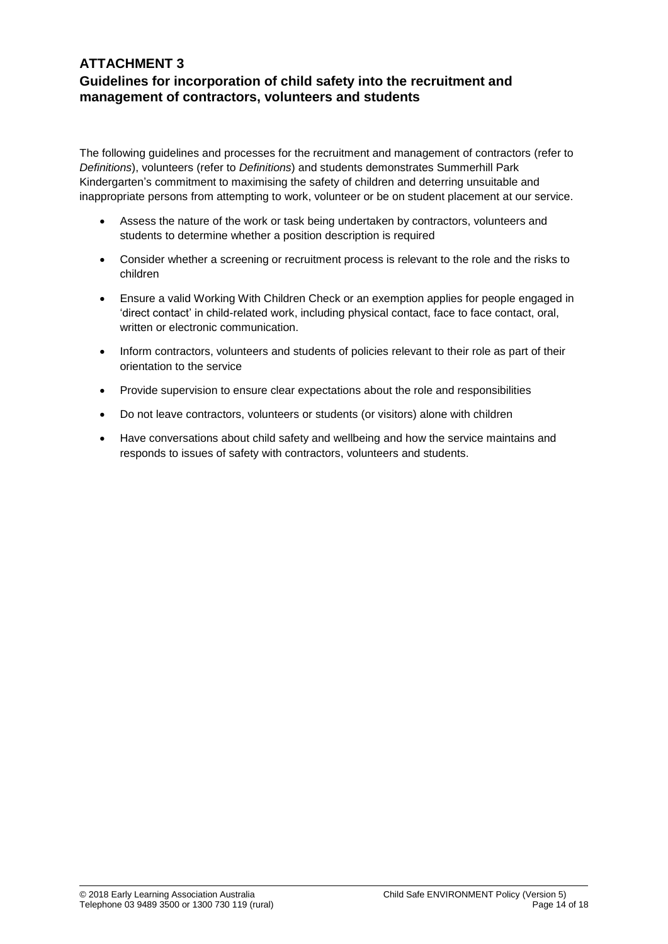## **ATTACHMENT 3 Guidelines for incorporation of child safety into the recruitment and management of contractors, volunteers and students**

The following guidelines and processes for the recruitment and management of contractors (refer to *Definitions*), volunteers (refer to *Definitions*) and students demonstrates Summerhill Park Kindergarten's commitment to maximising the safety of children and deterring unsuitable and inappropriate persons from attempting to work, volunteer or be on student placement at our service.

- Assess the nature of the work or task being undertaken by contractors, volunteers and students to determine whether a position description is required
- Consider whether a screening or recruitment process is relevant to the role and the risks to children
- Ensure a valid Working With Children Check or an exemption applies for people engaged in 'direct contact' in child-related work, including physical contact, face to face contact, oral, written or electronic communication.
- Inform contractors, volunteers and students of policies relevant to their role as part of their orientation to the service
- Provide supervision to ensure clear expectations about the role and responsibilities
- Do not leave contractors, volunteers or students (or visitors) alone with children
- Have conversations about child safety and wellbeing and how the service maintains and responds to issues of safety with contractors, volunteers and students.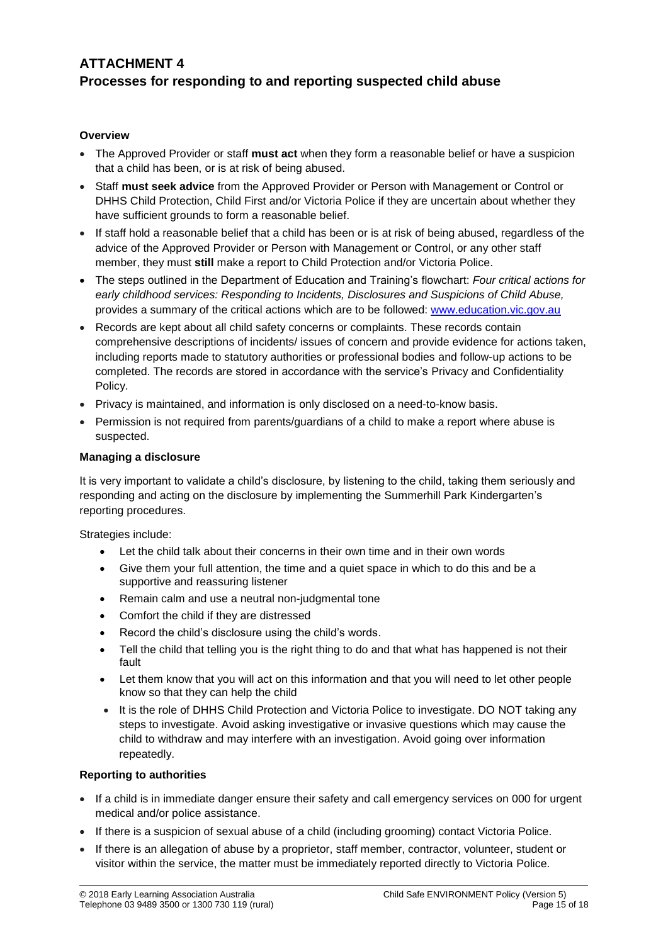# **ATTACHMENT 4 Processes for responding to and reporting suspected child abuse**

### **Overview**

- The Approved Provider or staff **must act** when they form a reasonable belief or have a suspicion that a child has been, or is at risk of being abused.
- Staff **must seek advice** from the Approved Provider or Person with Management or Control or DHHS Child Protection, Child First and/or Victoria Police if they are uncertain about whether they have sufficient grounds to form a reasonable belief.
- If staff hold a reasonable belief that a child has been or is at risk of being abused, regardless of the advice of the Approved Provider or Person with Management or Control, or any other staff member, they must **still** make a report to Child Protection and/or Victoria Police.
- The steps outlined in the Department of Education and Training's flowchart: *Four critical actions for early childhood services: Responding to Incidents, Disclosures and Suspicions of Child Abuse,*  provides a summary of the critical actions which are to be followed: [www.education.vic.gov.au](http://www.education.vic.gov.au/Pages/default.aspx)
- Records are kept about all child safety concerns or complaints. These records contain comprehensive descriptions of incidents/ issues of concern and provide evidence for actions taken, including reports made to statutory authorities or professional bodies and follow-up actions to be completed. The records are stored in accordance with the service's Privacy and Confidentiality Policy.
- Privacy is maintained, and information is only disclosed on a need-to-know basis.
- Permission is not required from parents/guardians of a child to make a report where abuse is suspected.

#### **Managing a disclosure**

It is very important to validate a child's disclosure, by listening to the child, taking them seriously and responding and acting on the disclosure by implementing the Summerhill Park Kindergarten's reporting procedures.

Strategies include:

- Let the child talk about their concerns in their own time and in their own words
- Give them your full attention, the time and a quiet space in which to do this and be a supportive and reassuring listener
- Remain calm and use a neutral non-judgmental tone
- Comfort the child if they are distressed
- Record the child's disclosure using the child's words.
- Tell the child that telling you is the right thing to do and that what has happened is not their fault
- Let them know that you will act on this information and that you will need to let other people know so that they can help the child
- It is the role of DHHS Child Protection and Victoria Police to investigate. DO NOT taking any steps to investigate. Avoid asking investigative or invasive questions which may cause the child to withdraw and may interfere with an investigation. Avoid going over information repeatedly.

#### **Reporting to authorities**

- If a child is in immediate danger ensure their safety and call emergency services on 000 for urgent medical and/or police assistance.
- If there is a suspicion of sexual abuse of a child (including grooming) contact Victoria Police.
- If there is an allegation of abuse by a proprietor, staff member, contractor, volunteer, student or visitor within the service, the matter must be immediately reported directly to Victoria Police.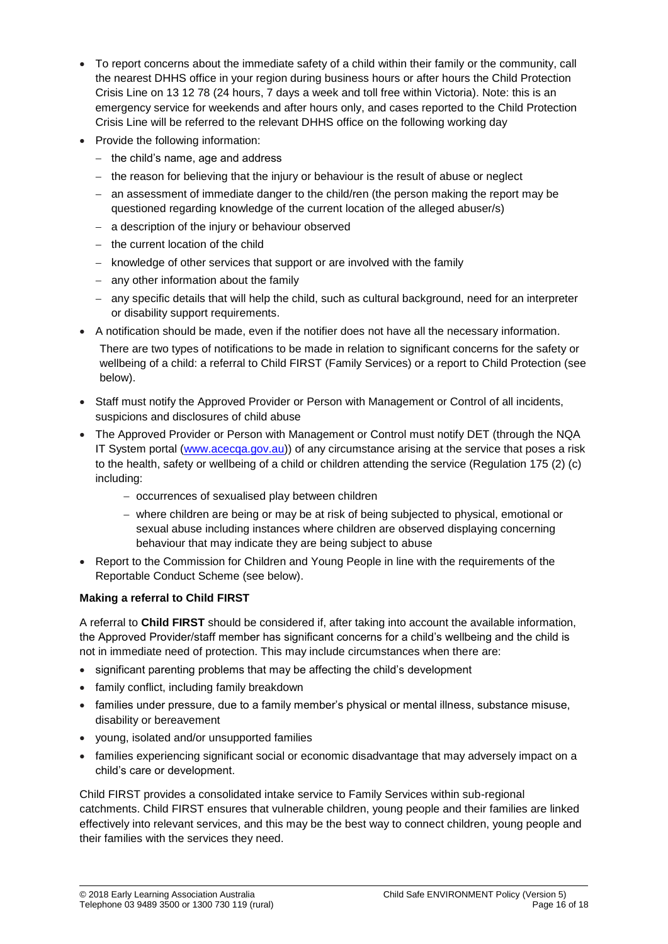- To report concerns about the immediate safety of a child within their family or the community, call the nearest DHHS office in your region during business hours or after hours the Child Protection Crisis Line on 13 12 78 (24 hours, 7 days a week and toll free within Victoria). Note: this is an emergency service for weekends and after hours only, and cases reported to the Child Protection Crisis Line will be referred to the relevant DHHS office on the following working day
- Provide the following information:
	- − the child's name, age and address
	- − the reason for believing that the injury or behaviour is the result of abuse or neglect
	- − an assessment of immediate danger to the child/ren (the person making the report may be questioned regarding knowledge of the current location of the alleged abuser/s)
	- − a description of the injury or behaviour observed
	- − the current location of the child
	- − knowledge of other services that support or are involved with the family
	- − any other information about the family
	- − any specific details that will help the child, such as cultural background, need for an interpreter or disability support requirements.
- A notification should be made, even if the notifier does not have all the necessary information. There are two types of notifications to be made in relation to significant concerns for the safety or wellbeing of a child: a referral to Child FIRST (Family Services) or a report to Child Protection (see below).
- Staff must notify the Approved Provider or Person with Management or Control of all incidents, suspicions and disclosures of child abuse
- The Approved Provider or Person with Management or Control must notify DET (through the NQA IT System portal [\(www.acecqa.gov.au\)](http://www.acecqa.gov.au/)) of any circumstance arising at the service that poses a risk to the health, safety or wellbeing of a child or children attending the service (Regulation 175 (2) (c) including:
	- − occurrences of sexualised play between children
	- − where children are being or may be at risk of being subjected to physical, emotional or sexual abuse including instances where children are observed displaying concerning behaviour that may indicate they are being subject to abuse
- Report to the Commission for Children and Young People in line with the requirements of the Reportable Conduct Scheme (see below).

### **Making a referral to Child FIRST**

A referral to **Child FIRST** should be considered if, after taking into account the available information, the Approved Provider/staff member has significant concerns for a child's wellbeing and the child is not in immediate need of protection. This may include circumstances when there are:

- significant parenting problems that may be affecting the child's development
- family conflict, including family breakdown
- families under pressure, due to a family member's physical or mental illness, substance misuse, disability or bereavement
- young, isolated and/or unsupported families
- families experiencing significant social or economic disadvantage that may adversely impact on a child's care or development.

Child FIRST provides a consolidated intake service to Family Services within sub-regional catchments. Child FIRST ensures that vulnerable children, young people and their families are linked effectively into relevant services, and this may be the best way to connect children, young people and their families with the services they need.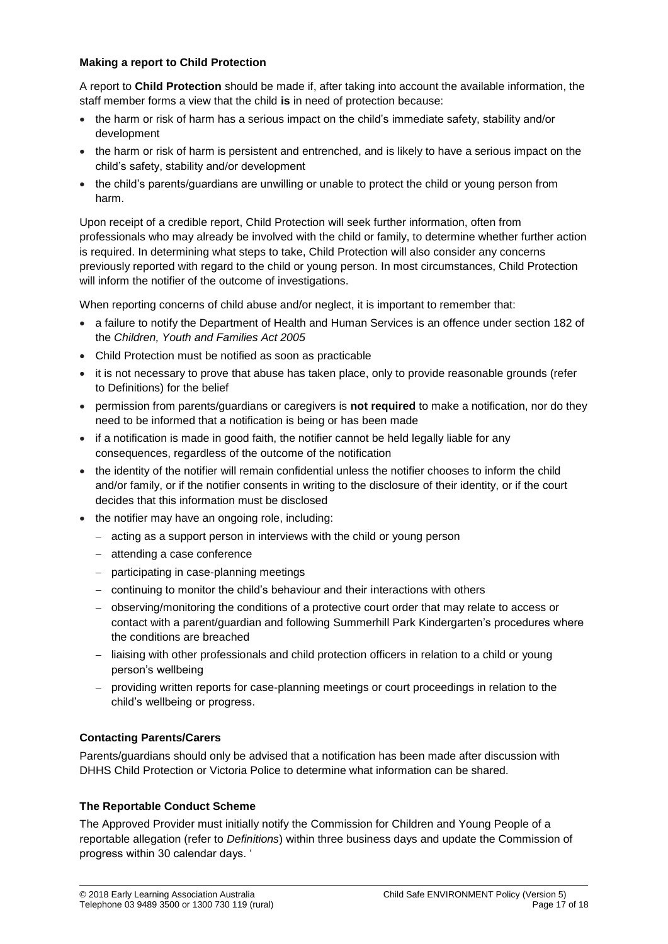### **Making a report to Child Protection**

A report to **Child Protection** should be made if, after taking into account the available information, the staff member forms a view that the child **is** in need of protection because:

- the harm or risk of harm has a serious impact on the child's immediate safety, stability and/or development
- the harm or risk of harm is persistent and entrenched, and is likely to have a serious impact on the child's safety, stability and/or development
- the child's parents/guardians are unwilling or unable to protect the child or young person from harm.

Upon receipt of a credible report, Child Protection will seek further information, often from professionals who may already be involved with the child or family, to determine whether further action is required. In determining what steps to take, Child Protection will also consider any concerns previously reported with regard to the child or young person. In most circumstances, Child Protection will inform the notifier of the outcome of investigations.

When reporting concerns of child abuse and/or neglect, it is important to remember that:

- a failure to notify the Department of Health and Human Services is an offence under section 182 of the *Children, Youth and Families Act 2005*
- Child Protection must be notified as soon as practicable
- it is not necessary to prove that abuse has taken place, only to provide reasonable grounds (refer to Definitions) for the belief
- permission from parents/guardians or caregivers is **not required** to make a notification, nor do they need to be informed that a notification is being or has been made
- if a notification is made in good faith, the notifier cannot be held legally liable for any consequences, regardless of the outcome of the notification
- the identity of the notifier will remain confidential unless the notifier chooses to inform the child and/or family, or if the notifier consents in writing to the disclosure of their identity, or if the court decides that this information must be disclosed
- the notifier may have an ongoing role, including:
	- − acting as a support person in interviews with the child or young person
	- − attending a case conference
	- − participating in case-planning meetings
	- − continuing to monitor the child's behaviour and their interactions with others
	- − observing/monitoring the conditions of a protective court order that may relate to access or contact with a parent/guardian and following Summerhill Park Kindergarten's procedures where the conditions are breached
	- − liaising with other professionals and child protection officers in relation to a child or young person's wellbeing
	- − providing written reports for case-planning meetings or court proceedings in relation to the child's wellbeing or progress.

### **Contacting Parents/Carers**

Parents/guardians should only be advised that a notification has been made after discussion with DHHS Child Protection or Victoria Police to determine what information can be shared.

### **The Reportable Conduct Scheme**

The Approved Provider must initially notify the Commission for Children and Young People of a reportable allegation (refer to *Definitions*) within three business days and update the Commission of progress within 30 calendar days. '